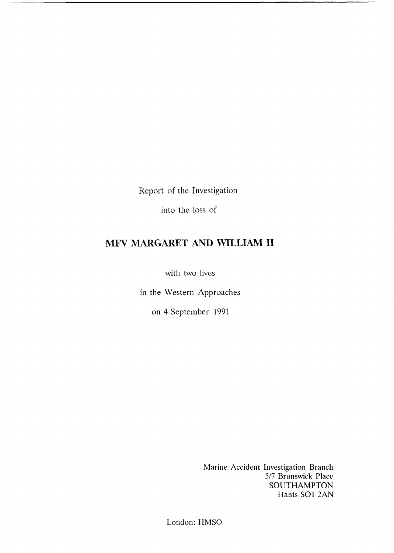Report of the Investigation

into the loss of

## MFV MARGARET AND WILLIAM II

with two lives

in the Western Approaches

on 4 September 1991

Marine Accident Investigation Branch 5/7 Brunswick Place SOUTHAMPTON Hants SO1 *2AN* 

London: HMSO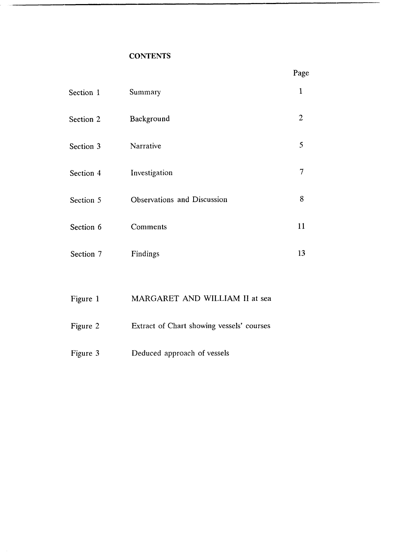## **CONTENTS**

| Section 1 | Summary                     | 1              |
|-----------|-----------------------------|----------------|
| Section 2 | Background                  | $\overline{2}$ |
| Section 3 | Narrative                   | 5              |
| Section 4 | Investigation               | 7              |
| Section 5 | Observations and Discussion | 8              |
| Section 6 | Comments                    | 11             |
| Section 7 | Findings                    | 13             |
|           |                             |                |

# [Figure 1](#page-2-0) MARGARET AND WILLIAM II at sea

- [Figure 2](#page-3-0) Extract of Chart showing vessels' courses
- [Figure](#page-4-0) 3 **Deduced approach of vessels**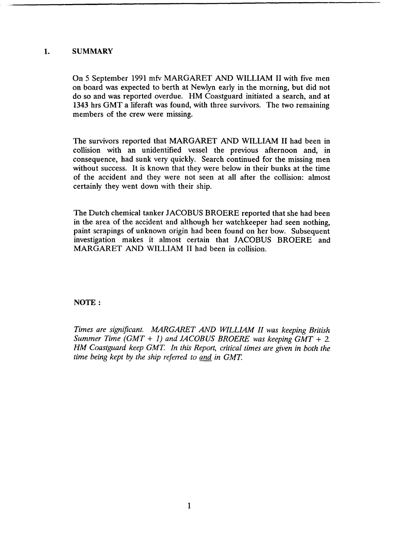### <span id="page-2-0"></span>**1. SUMMARY**

On 5 September 1991 mfv MARGARET *AND* **WILLIAM II** with five men on board was expected to berth at Newlyn early in the morning, but did not do so and was reported overdue. HM Coastguard initiated a search, and at 1343 hrs GMT a liferaft was found, with three survivors. The **two** remaining members of the crew were missing.

The survivors reported that MARGARET AND **WILLIAM II** had been in collision with an unidentified vessel the previous afternoon and, in consequence, had sunk very quickly. Search continued for the missing men without success. It is known that they were below in their bunks at the time of the accident and they were not seen at all after the collision: almost certainly they went down with their ship.

The Dutch chemical tanker JACOBUS BROERE reported that she had been in the area of the accident and although her watchkeeper had seen nothing, paint scrapings of unknown origin had been found on her bow. Subsequent investigation makes it almost certain that JACOBUS BROERE and MARGARET AND WILLIAM **II** had been in collision.

### **NOTE** :

*Times are significant. MARGARET AND WILLLIAM II was keeping British Summer Time (GMT* + *I) and JACOBUS BROERE was keeping GMT* + *2. HM Coastguard keep GMT. In this Report, critical times are given in both the time being kept by the ship referred to and in GMT.*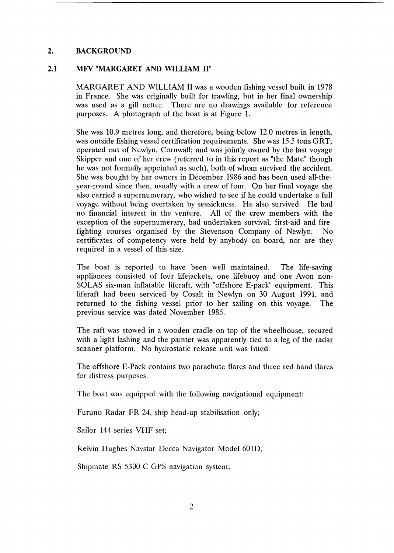#### <span id="page-3-0"></span>**2. BACKGROUND**

#### **2.1 MFV "MARGARET AND WILLIAM II"**

MARGARET AND WILLIAM II was a wooden fishing vessel built in 1978 in France. She was originally built for trawling, but in her final ownership was used as a gill netter. There are no drawings available for reference purposes. A photograph of the boat is at Figure 1.

She was 10.9 metres long, and therefore, being below 12.0 metres in length, was outside fishing vessel certification requirements. She was 15.5 tons GRT; operated out of Newlyn, Cornwall; and was jointly owned by the last voyage Skipper and one of her crew (referred to in this report as "the Mate" though he was not formally appointed as such), both of whom survived the accident. She was bought by her owners in December 1986 and has been used all-theyear-round since then, usually with a crew of four. On her final voyage she also carried a supernumerary, who wished to see if he could undertake a full voyage without being overtaken by seasickness. He also survived. He had no financial interest in the venture. All of the crew members with the exception of the supernumerary, had undertaken survival, first-aid and firefighting courses organised by the Stevenson Company of Newlyn. No certificates of competency were held by anybody on board, nor are they required in a vessel of this size.

The boat is reported to have been well maintained. The life-saving appliances consisted of four lifejackets, one lifebuoy and one Avon non-SOLAS six-man inflatable liferaft, with "offshore E-pack" equipment. This liferaft had been serviced by Cosalt in Newlyn on 30 August 1991, and returned to the fishing vessel prior to her sailing on this voyage. The previous service was dated November 1985.

The raft was stowed in a wooden cradle on top of the wheelhouse, secured with a light lashing and the painter was apparently tied to a leg of the radar scanner platform. No hydrostatic release unit was fitted.

The offshore E-Pack contains two parachute flares and three red hand flares for distress purposes.

The boat was equipped with the following navigational equipment:

Furuno Radar FR 24, ship head-up stabilisation only;

Sailor 144 series VHF set;

Kelvin Hughes Navstar Decca Navigator Model 601D;

Shipmate RS 5300 C GPS navigation system;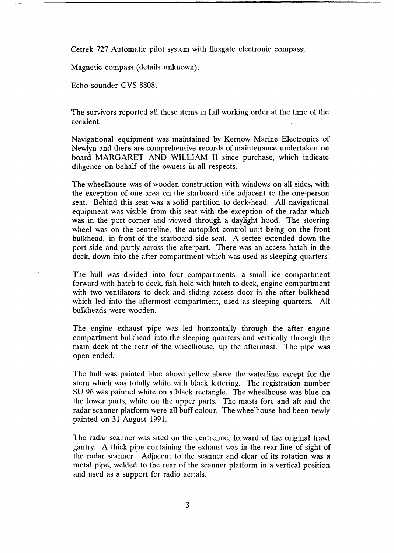<span id="page-4-0"></span>Cetrek 727 Automatic pilot system with fluxgate electronic compass;

Magnetic compass (details unknown);

Echo sounder CVS 8808;

The survivors reported all these items in full working order at the time of the accident.

Navigational equipment was maintained by Kernow Marine Electronics of Newlyn and there are comprehensive records of maintenance undertaken on board MARGARET AND WILLIAM **II** since purchase, which indicate diligence on behalf of the owners in all respects.

The wheelhouse was of wooden construction with windows on all sides, with the exception of one area on the starboard side adjacent to the one-person seat. Behind this seat was a solid partition to deck-head. All navigational equipment was visible from this seat with the exception of the radar which was in the port corner and viewed through a daylight hood. The steering wheel was on the centreline, the autopilot control unit being on the front bulkhead, in front of the starboard side seat. **A** settee extended down the port side and partly across the afterpart. There was an access hatch in the deck, down into the after compartment which was used as sleeping quarters.

The hull was divided into four compartments: a small ice compartment forward with hatch to deck, fish-hold with hatch to deck, engine compartment with two ventilators to deck and sliding access door in the after bulkhead which led into the aftermost compartment, used as sleeping quarters. All bulkheads were wooden.

The engine exhaust pipe was led horizontally through the after engine compartment bulkhead into the sleeping quarters and vertically through the main deck at the rear of the wheelhouse, up the aftermast. The pipe was open ended.

The hull was painted blue above yellow above the waterline except for the stern which was totally white with black lettering. The registration number **SU** 96 was painted white on a black rectangle. The wheelhouse was blue on the lower parts, white on the upper parts. The masts fore and aft and the radar scanner platform were all buff colour. The wheelhouse had been newly painted on 31 August 1991.

The radar scanner was sited on the centreline, forward of the original trawl gantry. A thick pipe containing the exhaust was in the rear line of sight of the radar scanner. Adjacent to the scanner and clear of its rotation was a metal pipe, welded to the rear of the scanner platform in a vertical position and used as a support for radio aerials.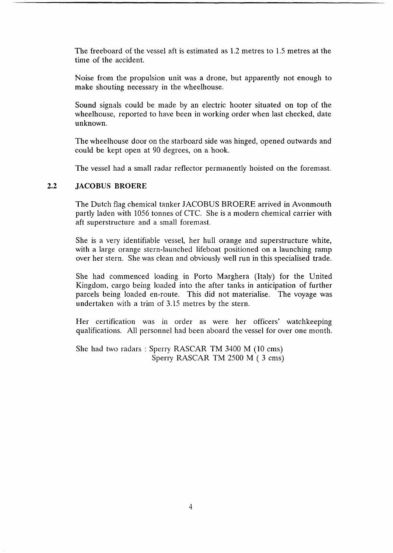<span id="page-5-0"></span>The freeboard of the vessel aft is estimated as 1.2 metres to 1.5 metres at the time of the accident.

Noise from the propulsion unit was a drone, but apparently not enough to make shouting necessary in the wheelhouse.

Sound signals could be made by an electric hooter situated on top of the wheelhouse, reported to have been in working order when last checked, date unknown.

The wheelhouse door on the starboard side was hinged, opened outwards and could be kept open at 90 degrees, on a hook.

The vessel had a small radar reflector permanently hoisted on the foremast.

#### **2.2 JACOBUS BROERE**

The Dutch flag chemical tanker JACOBUS BROERE arrived in Avonmouth partly laden with 1056 tonnes of CTC. She is a modern chemical carrier with aft superstructure and a small foremast.

She is a very identifiable vessel, her hull orange and superstructure white, with a large orange stern-launched lifeboat positioned on a launching ramp over her stern. She was clean and obviously well run in this specialised trade.

She had commenced loading in Porto Marghera (Italy) for the United Kingdom, cargo being loaded into the after tanks in anticipation of further parcels being loaded en-route. This did not materialise. The voyage was undertaken with a trim of 3.15 metres by the stern.

Her certification was in order as were her officers' watchkeeping qualifications. All personnel had been aboard the vessel for over one month.

She had two radars : Sperry RASCAR TM 3400 M (10 cms) Sperry RASCAR TM 2500 M ( **3** cms)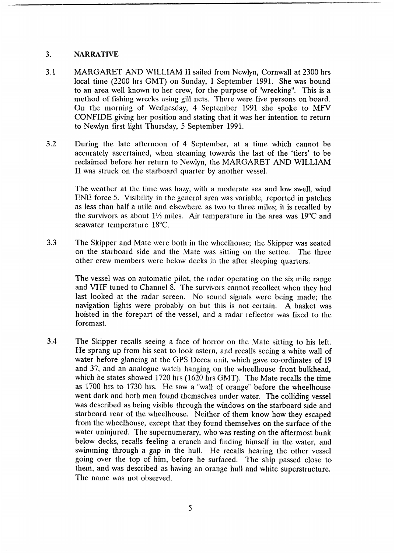### **3. NARRATIVE**

- 3.1 MARGARET AND WILLIAM **II** sailed from Newlyn, Cornwall at **2300** hrs local time **(2200** hrs GMT) on Sunday, 1 September 1991. She was bound to an area well known to her crew, for the purpose of "wrecking". This is **a**  method of fishing wrecks using gill nets. There were five persons on board. On the morning of Wednesday, 4 September 1991 she spoke to MFV CONFIDE giving her position and stating that it was her intention to return to Newlyn first light Thursday, *5* September 1991.
- **3.2** During the late afternoon of **4** September, at **a** time which cannot be accurately ascertained, when steaming towards the last **of** the 'tiers' to be reclaimed before her return to Newlyn, the MARGARET AND WILLIAM II was struck on the starboard quarter by another vessel.

The weather at the time was hazy, with a moderate sea and low swell, wind ENE force *5.* Visibility in the general area was variable, reported in patches as less than half a mile and elsewhere as two to three miles; it is recalled by the survivors as about  $1\frac{1}{2}$  miles. Air temperature in the area was 19<sup>o</sup>C and seawater temperature 18°C.

**3.3** The Skipper and Mate were both in the wheelhouse; the Skipper was seated on the starboard side and the Mate was sitting on the settee. The three other crew members were below decks in the after sleeping quarters.

> The vessel was on automatic pilot, the radar operating on the six mile range and VHF tuned to Channel 8. The survivors cannot recollect when they had last looked at the radar screen. No sound signals were being made; the navigation lights were probably on but this is not certain. **A** basket was hoisted in the forepart of the vessel, and a radar reflector was fixed to the foremast.

**3.4** The Skipper recalls seeing a face of horror on the Mate sitting to his left. He sprang up from his seat to look astern, and recalls seeing a white wall of water before glancing at the GPS Decca unit, which gave co-ordinates of 19 and 37, and an analogue watch hanging on the wheelhouse front bulkhead, which he states showed 1720 hrs (1620 hrs GMT). The Mate recalls the time as 1700 hrs to 1730 hrs. He saw a "wall of orange" before the wheelhouse went dark and both men found themselves under water. The colliding vessel was described as being visible through the windows on the starboard side and starboard rear of the wheelhouse. Neither of them know how they escaped from the wheelhouse, except that they found themselves on the surface of the water uninjured. The supernumerary, who was resting on the aftermost bunk below decks, recalls feeling a crunch and finding himself in the water, and swimming through a **gap** in the hull. He recalls hearing the other vessel going over the top of him, before he surfaced. The ship passed close to them, and was described as having an orange hull and white superstructure. The name was not observed.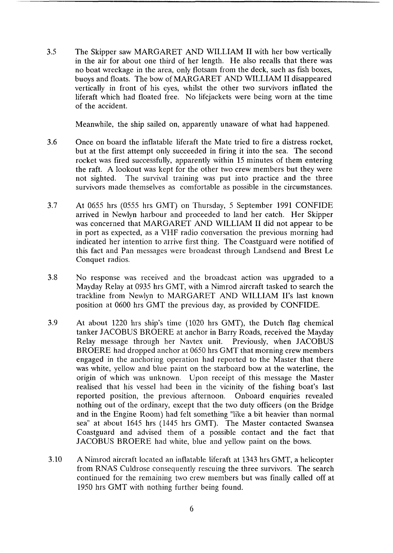<span id="page-7-0"></span>**3.5**  The Skipper saw MARGARET AND WILLIAM II with her bow vertically in the air for about one third of her length. He also recalls that there was no boat wreckage in the area, only flotsam from the deck, such as fish boxes, buoys and floats. The bow of MARGARET AND WILLIAM II disappeared vertically in front of his eyes, whilst the other two survivors inflated the liferaft which had floated free. No lifejackets were being worn at the time of the accident.

Meanwhile, the ship sailed on, apparently unaware of what had happened.

- **3.6**  Once on board the inflatable liferaft the Mate tried to fire a distress rocket, but at the first attempt only succeeded in firing it into the sea. The second rocket was fired successfully, apparently within 15 minutes of them entering the raft. A lookout was kept for the other two crew members but they were not sighted. The survival training was put into practice and the three survivors made themselves as comfortable as possible in the circumstances.
- 3.7 At 0655 hrs (0555 hrs GMT) on Thursday, *5* September 1991 CONFIDE arrived in Newlyn harbour and proceeded to land her catch. Her Skipper was concerned that MARGARET AND WILLIAM **II** did not appear to be in port as expected, as a VHF radio conversation the previous morning had indicated her intention to arrive first thing. The Coastguard were notified of this fact and Pan messages were broadcast through Landsend and Brest Le Conquet radios.
- 3.8 No response was received and the broadcast action was upgraded to a Mayday Relay at 0935 hrs GMT, with a Nimrod aircraft tasked to search the trackline from Newlyn to MARGARET AND WILLIAM II's last known position at 0600 hrs GMT the previous day, as provided by CONFIDE.
- 3.9 At about 1220 hrs ship's time (1020 hrs GMT), the Dutch flag chemical tanker JACOBUS BROERE at anchor in Barry Roads, received the Mayday Relay message through her Navtex unit. Previously, when JACOBUS BROERE had dropped anchor at 0650 hrs GMT that morning crew members engaged in the anchoring operation had reported to the Master that there was white, yellow and blue paint on the starboard bow at the waterline, the origin of which was unknown. Upon receipt of this message the Master realised that his vessel had been in the vicinity of the fishing boat's last reported position, the previous afternoon. Onboard enquiries revealed nothing out of the ordinary, except that the two duty officers (on the Bridge and in the Engine Room) had felt something "like a bit heavier than normal sea" at about 1645 hrs (1445 hrs GMT). The Master contacted Swansea Coastguard and advised them of a possible contact and the fact that JACOBUS BROERE had white, blue and yellow paint on the bows.
- 3.10 A Nimrod aircraft located an inflatable liferaft at 1343 hrs GMT, a helicopter from RNAS Culdrose consequently rescuing the three survivors. The search continued for the remaining two crew members but was finally called off at 1950 hrs GMT with nothing further being found.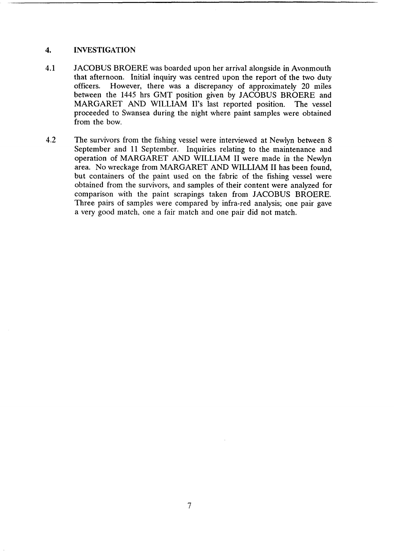#### <span id="page-8-0"></span>**4. INVESTIGATION**

- **4.1** JACOBUS BROERE was boarded upon her arrival alongside in Avonmouth that afternoon. Initial inquiry was centred upon the report of the two duty officers. However, there was a discrepancy of approximately **20** miles between the **1445** hrs GMT position given by JACOBUS BROERE and MARGARET AND WILLIAM II's last reported position. The vessel proceeded to Swansea during the night where paint samples were obtained from the bow.
- **4.2** The survivors from the fishing vessel were interviewed at Newlyn between **8**  September and 11 September. Inquiries relating to the maintenance and operation of MARGARET AND WILLIAM II were made in the Newlyn area. No wreckage from MARGARET AND WILLIAM II has been found, but containers of the paint used on the fabric of the fishing vessel were obtained from the survivors, and samples of their content were analyzed for comparison with the paint scrapings taken from JACOBUS BROERE. Three pairs of samples were compared by infra-red analysis; one pair gave **a** very good match, one a fair match and one pair did not match.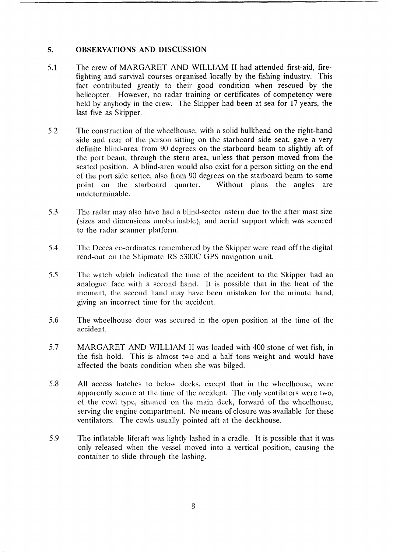#### <span id="page-9-0"></span>*5.*  **OBSERVATIONS AND DISCUSSION**

- 5.1 The crew of MARGARET AND WILLIAM II had attended first-aid, firefighting and survival courses organised locally by the fishing industry. This fact contributed greatly to their good condition when rescued by the helicopter. However, no radar training or certificates of competency were held by anybody in the crew. The Skipper had been at sea for 17 years, the last five as Skipper.
- 5.2 The construction of the wheelhouse, with a solid bulkhead on the right-hand side and rear of the person sitting on the starboard side seat, gave a very definite blind-area from 90 degrees on the starboard beam to slightly aft of the port beam, through the stern area, unless that person moved from the seated position. A blind-area would also exist for a person sitting on the end of the port side settee, also from 90 degrees on the starboard beam to some point on the starboard quarter. Without plans the angles are point on the starboard quarter. undeterminable.
- 5.3 The radar may also have had a blind-sector astern due to the after mast size (sizes and dimensions unobtainable), and aerial support which was secured to the radar scanner platform.
- 5.4 The Decca co-ordinates remembered by the Skipper were read off the digital read-out on the Shipmate RS 5300C GPS navigation unit.
- 5 .5 The watch which indicated the time of the accident to the Skipper had an analogue face with a second hand. It is possible that in the heat of the moment, the second hand may have been mistaken for the minute hand, giving an incorrect time for the accident.
- 5.6 The wheelhouse door was secured in the open position at the time of the accident.
- 5.7 MARGARET AND WILLIAM II was loaded with 400 stone of wet fish, in the fish hold. This is almost two and a half tons weight and would have affected the boats condition when she was bilged.
- 5.8 **All** access hatches to below decks, except that in the wheelhouse, were apparently secure at the time of the accident. The only ventilators were two, of the cowl type, situated on the main deck, forward of the wheelhouse, serving the engine compartment. No means of closure was available for these ventilators. The cowls usually pointed aft at the deckhouse.
- 5.9 The inflatable liferaft was lightly lashed in a cradle. It is possible that it was only released when the vessel moved into a vertical position, causing the container to slide through the lashing.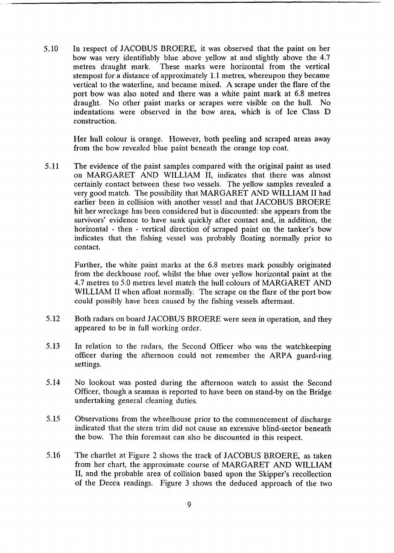5.10 In respect of JACOBUS BROERE, it was observed that the paint on her bow was very identifiably blue above yellow at and slightly above the 4.7 metres draught mark. These marks were horizontal from the vertical stempost for a distance of approximately 1.1 metres, whereupon they became vertical to the waterline, and became mixed. A scrape under the flare of the port bow was also noted and there was a white paint mark at 6.8 metres draught. No other paint marks or scrapes were visible on the hull. No indentations were observed in the bow area, which is of Ice Class D construction.

> Her hull colour is orange. However, both peeling and scraped areas away from the bow revealed blue paint beneath the orange top coat.

5.11 The evidence of the paint samples compared with the original paint as used on MARGARET AND WILLIAM II, indicates that there was almost certainly contact between these two vessels. The yellow samples revealed a very good match. The possibility that MARGARET AND WILLIAM II had earlier been in collision with another vessel and that JACOBUS BROERE hit her wreckage has been considered but is discounted: she appears from the survivors' evidence to have sunk quickly after contact and, in addition, the horizontal - then - vertical direction of scraped paint on the tanker's bow indicates that the fishing vessel was probably floating normally prior to contact.

> Further, the white paint marks at the 6.8 metres mark possibly originated from the deckhouse roof, whilst the blue over yellow horizontal paint at the 4.7 metres to 5.0 metres level match the hull colours of MARGARET AND WILLIAM II when afloat normally. The scrape on the flare of the port bow could possibly have been caused by the fishing vessels aftermast.

- 5.12 Both radars on board JACOBUS BROERE were seen in operation, and they appeared to be in full working order.
- **5.13** In relation to the radars, the Second Officer who was the watchkeeping officer during the afternoon could not remember the ARPA guard-ring settings.
- 5.14 No lookout was posted during the afternoon watch to assist the Second Officer, though a seaman is reported to have been on stand-by on the Bridge undertaking general cleaning duties.
- 5.15 Observations from the wheelhouse prior to the commencement of discharge indicated that the stern trim did not cause an excessive blind-sector beneath the bow. The thin foremast can also be discounted in this respect.
- 5.16 The chartlet at Figure 2 shows the track of JACOBUS BROERE, as taken from her chart, the approximate course of MARGARET AND WILLIAM II, and the probable area of collision based upon the Skipper's recollection of the Decca readings. Figure **3** shows the deduced approach of the two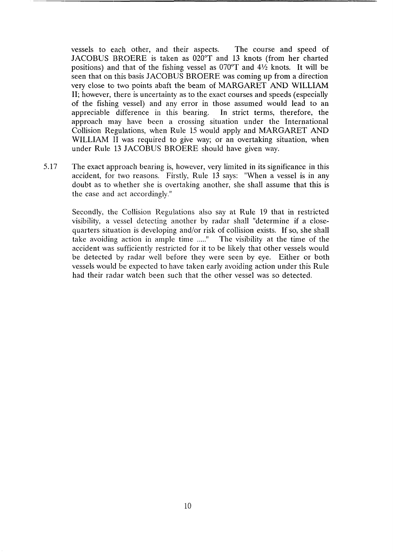vessels to each other, and their aspects. The course and speed of JACOBUS BROERE is taken as  $020^{\circ}$ T and 13 knots (from her charted positions) and that of the fishing vessel as  $070^{\circ}$ T and  $4\frac{1}{2}$  knots. It will be seen that on this basis JACOBUS BROERE was coming up from a direction very close to two points abaft the beam of MARGARET AND WILLIAM II; however, there is uncertainty as to the exact courses and speeds (especially of the fishing vessel) and any error in those assumed would lead to an appreciable difference in this bearing. In strict terms, therefore, the approach may have been a crossing situation under the International Collision Regulations, when Rule 15 would apply and MARGARET AND WILLIAM II was required to give way; or an overtaking situation, when under Rule 13 JACOBUS BROERE should have given way.

5.17 The exact approach bearing is, however, very limited in its significance in this accident, for two reasons. Firstly, Rule 13 says: "When a vessel is in any doubt as to whether she is overtaking another, she shall assume that this is the case and act accordingly."

Secondly, the Collision Regulations also say at Rule 19 that in restricted visibility, a vessel detecting another by radar shall "determine if a closequarters situation is developing and/or risk of collision exists. If so, she shall take avoiding action in ample time **....."** The visibility at the time of the accident was sufficiently restricted for it to be likely that other vessels would be detected by radar well before they were seen by eye. Either or both vessels would be expected to have taken early avoiding action under this Rule had their radar watch been such that the other vessel was so detected.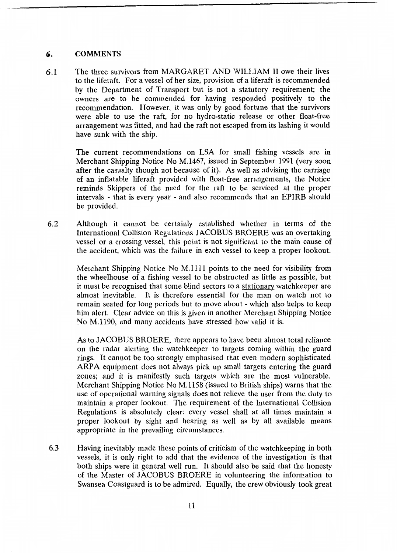### <span id="page-12-0"></span>*6.* **COMMENTS**

**6.1** The three survivors from MARGARET AND WILLIAM IT owe their lives to the liferaft. For a vessel of her size, provision of a liferaft is recommended by the Department of Transport but is not a statutory requirement; the owners are to be commended for having responded positively to the recommendation. However, it was only by good fortune that the survivors were able to use the raft, for no hydro-static release or other float-free arrangement was fitted, and had the raft not escaped from its lashing it would have sunk with the ship.

> The current recommendations on LSA for small fishing vessels are in Merchant Shipping Notice No M.1467, issued in September 1991 (very soon after the casualty though not because of it). As well as advising the carriage of an inflatable liferaft provided with float-free arrangements, the Notice reminds Skippers of the need for the raft to be serviced at the proper intervals - that is every year - and also recommends that an EPIRB should be provided.

*6.2* Although it cannot be certainly established whether in terms of the International Collision Regulations JACOBUS BROERE was an overtaking vessel or a crossing vessel, this point is not significant to the main cause of the accident, which was the failure in each vessel to keep a proper lookout.

> Merchant Shipping Notice No M.1111 points to the need for visibility from the wheelhouse of a fishing vessel to be obstructed as little as possible, but it must be recognised that some blind sectors to a stationary watchkeeper are almost inevitable. It is therefore essential for the man on watch not to remain seated for long periods but to move about - which also helps to keep him alert. Clear advice on this is given in another Merchant Shipping Notice No M.1190, and many accidents have stressed how valid it is.

> As to JACOBUS BROERE, there appears to have been almost total reliance on the radar alerting the watchkeeper to targets coming within the guard rings. It cannot be too strongly emphasised that even modern sophisticated ARPA equipment does not always pick up small targets entering the guard zones; and it is manifestly such targets which are the most vulnerable. Merchant Shipping Notice No M.1158 (issued to British ships) warns that the use of operational warning signals does not relieve the user from the duty to maintain a proper lookout. The requirement of the International Collision Regulations is absolutely clear: every vessel shall at all times maintain a proper lookout by sight and hearing as well as by all available means appropriate in the prevailing circumstances.

**6.3** Having inevitably made these points of criticism of the watchkeeping in both vessels, it is only right to add that the evidence of the investigation is that both ships were in general well run. It should also be said that the honesty of the Master of JACOBUS BROERE in volunteering the information to Swansea Coastguard is to be admired. Equally, the crew obviously took great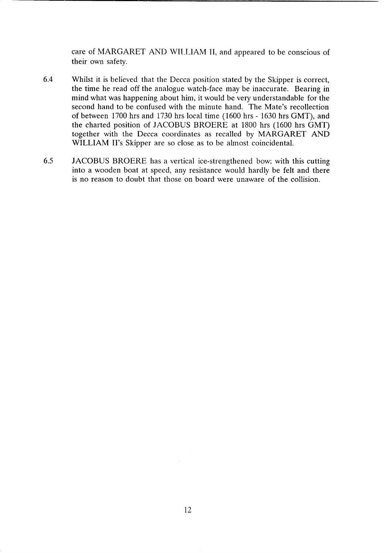care of MARGARET AND WILLIAM II, and appeared to be conscious of their own safety.

- 6.4 Whilst it is believed that the Decca position stated by the Skipper is correct, the time he read off the analogue watch-face may be inaccurate. Bearing in mind what was happening about him, it would be very understandable for the second hand to be confused with the minute hand. The Mate's recollection of between 1700 hrs and 1730 hrs local time (1600 hrs - 1630 hrs GMT), and the charted position of JACOBUS BROERE at 1800 hrs (1600 hrs GMT) together with the Decca coordinates as recalled by MARGARET AND WILLIAM II's Skipper are so close as to be almost coincidental.
- 6.5 JACOBUS BROERE has a vertical ice-strengthened bow; with this cutting into a wooden boat at speed, any resistance would hardly be felt and there is no reason to doubt that those on board were unaware of the collision.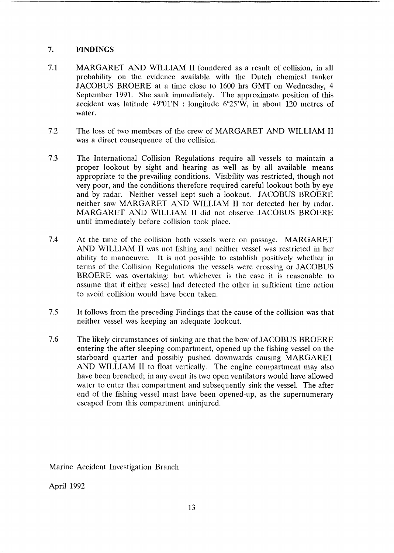### <span id="page-14-0"></span>**7. FINDINGS**

- 7.1 MARGARET AND WILLIAM II foundered as a result of collision, in all probability on the evidence available with the Dutch chemical tanker JACOBUS BROERE at a time close to 1600 hrs GMT on Wednesday, **4**  September 1991. She sank immediately. The approximate position of this accident was latitude  $49^{\circ}01'N$ : longitude  $6^{\circ}25'W$ , in about 120 metres of water.
- 7.2 The loss of two members of the crew of MARGARET AND WILLIAM II was a direct consequence of the collision.
- 7.3 The International Collision Regulations require all vessels to maintain a proper lookout by sight and hearing as well as by all available means appropriate to the prevailing conditions. Visibility was restricted, though not very poor, and the conditions therefore required careful lookout both by eye and by radar. Neither vessel kept such a lookout. JACOBUS BROERE neither saw MARGARET AND WILLIAM II nor detected her by radar. MARGARET AND WILLIAM II did not observe JACOBUS BROERE until immediately before collision took place.
- 7.4 At the time of the collision both vessels were on passage. MARGARET AND WILLIAM II was not fishing and neither vessel was restricted in her ability to manoeuvre. It is not possible to establish positively whether in terms of the Collision Regulations the vessels were crossing or JACOBUS BROERE was overtaking; but whichever is the case it is reasonable to assume that if either vessel had detected the other in sufficient time action to avoid collision would have been taken.
- 7.5 It follows from the preceding Findings that the cause of the collision was that neither vessel was keeping an adequate lookout.
- 7.6 The likely circumstances of sinking are that the bow of JACOBUS BROERE entering the after sleeping compartment, opened up the fishing vessel on the starboard quarter and possibly pushed downwards causing MARGARET AND WILLIAM II to float vertically. The engine compartment may also have been breached; in any event its two open ventilators would have allowed water to enter that compartment and subsequently sink the vessel. The after end of the fishing vessel must have been opened-up, as the supernumerary escaped from this compartment uninjured.

Marine Accident Investigation Branch

April 1992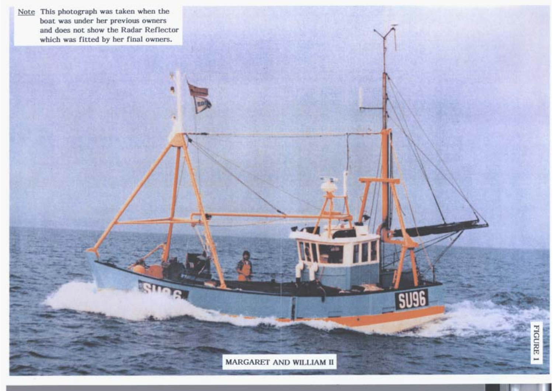

MARGARET AND WILLIAM II

 $\overline{\phantom{a}}$ 

**SU96**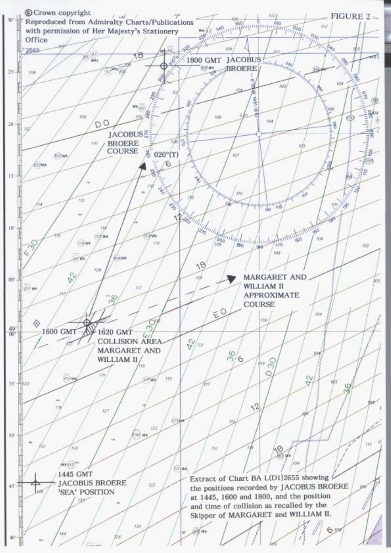